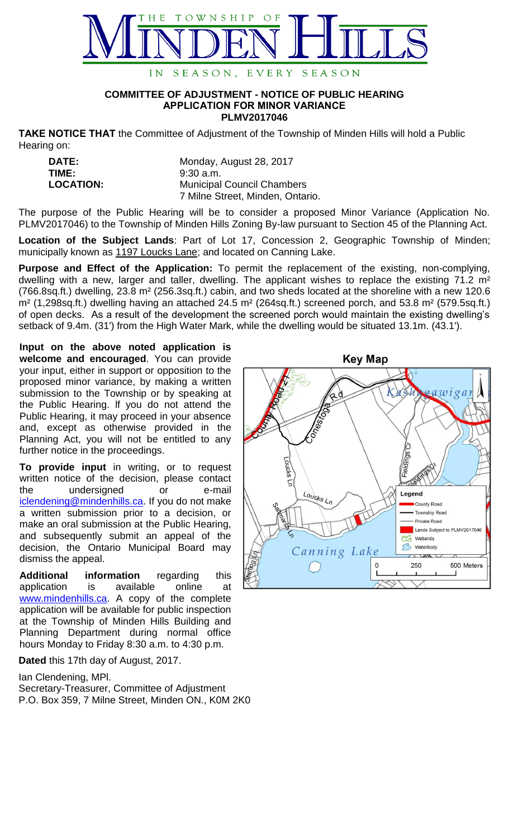

## **COMMITTEE OF ADJUSTMENT - NOTICE OF PUBLIC HEARING APPLICATION FOR MINOR VARIANCE PLMV2017046**

**TAKE NOTICE THAT** the Committee of Adjustment of the Township of Minden Hills will hold a Public Hearing on:

| <b>DATE:</b>     | Monday, August 28, 2017           |
|------------------|-----------------------------------|
| TIME:            | $9:30$ a.m.                       |
| <b>LOCATION:</b> | <b>Municipal Council Chambers</b> |
|                  | 7 Milne Street, Minden, Ontario.  |

The purpose of the Public Hearing will be to consider a proposed Minor Variance (Application No. PLMV2017046) to the Township of Minden Hills Zoning By-law pursuant to Section 45 of the Planning Act.

**Location of the Subject Lands**: Part of Lot 17, Concession 2, Geographic Township of Minden; municipally known as 1197 Loucks Lane; and located on Canning Lake.

**Purpose and Effect of the Application:** To permit the replacement of the existing, non-complying, dwelling with a new, larger and taller, dwelling. The applicant wishes to replace the existing 71.2 m<sup>2</sup> (766.8sq.ft.) dwelling, 23.8 m² (256.3sq.ft.) cabin, and two sheds located at the shoreline with a new 120.6 m² (1,298sq.ft.) dwelling having an attached 24.5 m² (264sq.ft.) screened porch, and 53.8 m² (579.5sq.ft.) of open decks. As a result of the development the screened porch would maintain the existing dwelling's setback of 9.4m. (31') from the High Water Mark, while the dwelling would be situated 13.1m. (43.1').

**Input on the above noted application is welcome and encouraged**. You can provide your input, either in support or opposition to the proposed minor variance, by making a written submission to the Township or by speaking at the Public Hearing. lf you do not attend the Public Hearing, it may proceed in your absence and, except as otherwise provided in the Planning Act, you will not be entitled to any further notice in the proceedings.

**To provide input** in writing, or to request written notice of the decision, please contact the undersigned or e-mail [iclendening@mindenhills.ca.](mailto:iclendening@mindenhills.ca) If you do not make a written submission prior to a decision, or make an oral submission at the Public Hearing, and subsequently submit an appeal of the decision, the Ontario Municipal Board may dismiss the appeal.

**Additional information** regarding this application is available online at [www.mindenhills.ca.](http://www.mindenhills.ca/) A copy of the complete application will be available for public inspection at the Township of Minden Hills Building and Planning Department during normal office hours Monday to Friday 8:30 a.m. to 4:30 p.m.

**Dated** this 17th day of August, 2017.

Ian Clendening, MPl.

Secretary-Treasurer, Committee of Adjustment P.O. Box 359, 7 Milne Street, Minden ON., K0M 2K0

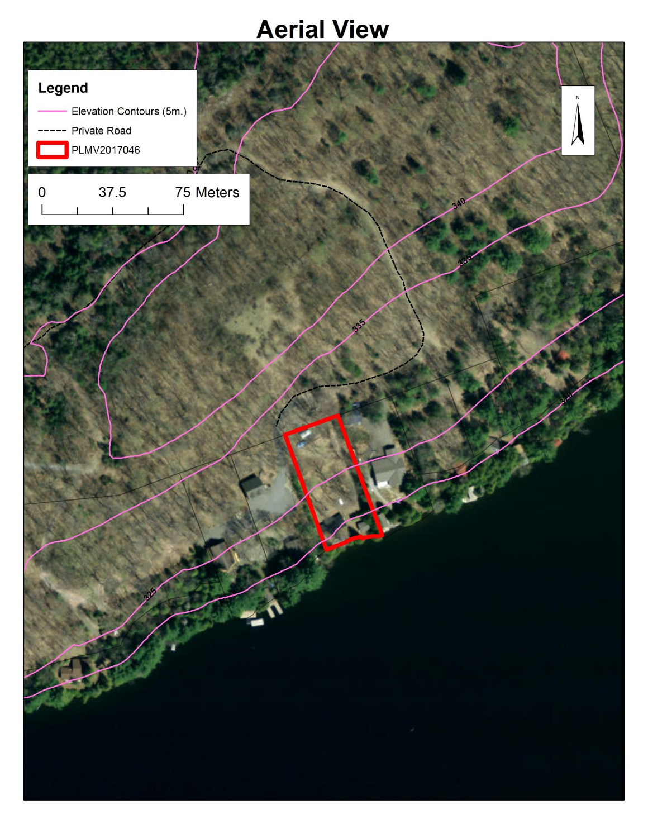## **Aerial View**

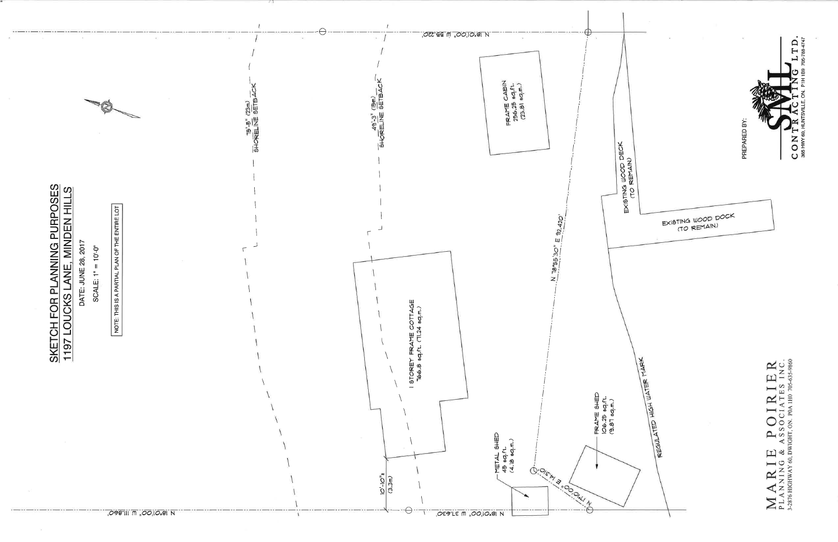